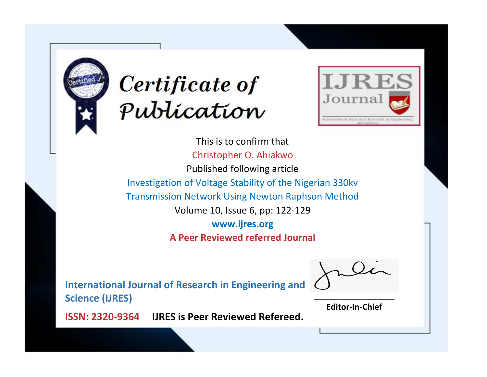



This is to confirm that Christopher O. Ahiakwo Published following article Investigation of Voltage Stability of the Nigerian 330kv Transmission Network Using Newton Raphson Method Volume 10, Issue 6, pp: 122-129 **www.ijres.org A Peer Reviewed referred Journal**

**International Journal of Research in Engineering and Science (IJRES)**

\_\_\_\_\_\_\_\_\_\_\_\_\_\_\_\_\_\_\_\_\_\_\_\_ **Editor-In-Chief**

**Journal.**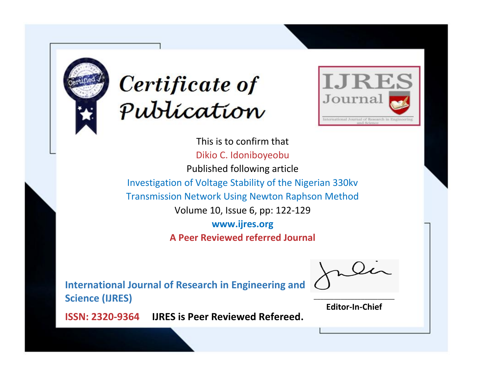



This is to confirm that Dikio C. Idoniboyeobu Published following article Investigation of Voltage Stability of the Nigerian 330kv Transmission Network Using Newton Raphson Method Volume 10, Issue 6, pp: 122-129 **www.ijres.org A Peer Reviewed referred Journal**

**International Journal of Research in Engineering and Science (IJRES)**

\_\_\_\_\_\_\_\_\_\_\_\_\_\_\_\_\_\_\_\_\_\_\_\_ **Editor-In-Chief**

**Journal.**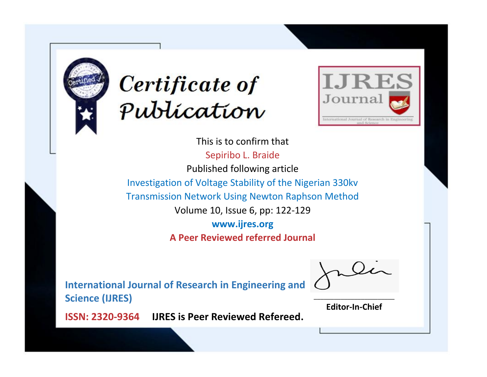



This is to confirm that Sepiribo L. Braide Published following article Investigation of Voltage Stability of the Nigerian 330kv Transmission Network Using Newton Raphson Method Volume 10, Issue 6, pp: 122-129 **www.ijres.org A Peer Reviewed referred Journal**

**International Journal of Research in Engineering and Science (IJRES)**

\_\_\_\_\_\_\_\_\_\_\_\_\_\_\_\_\_\_\_\_\_\_\_\_ **Editor-In-Chief**

**Journal.**